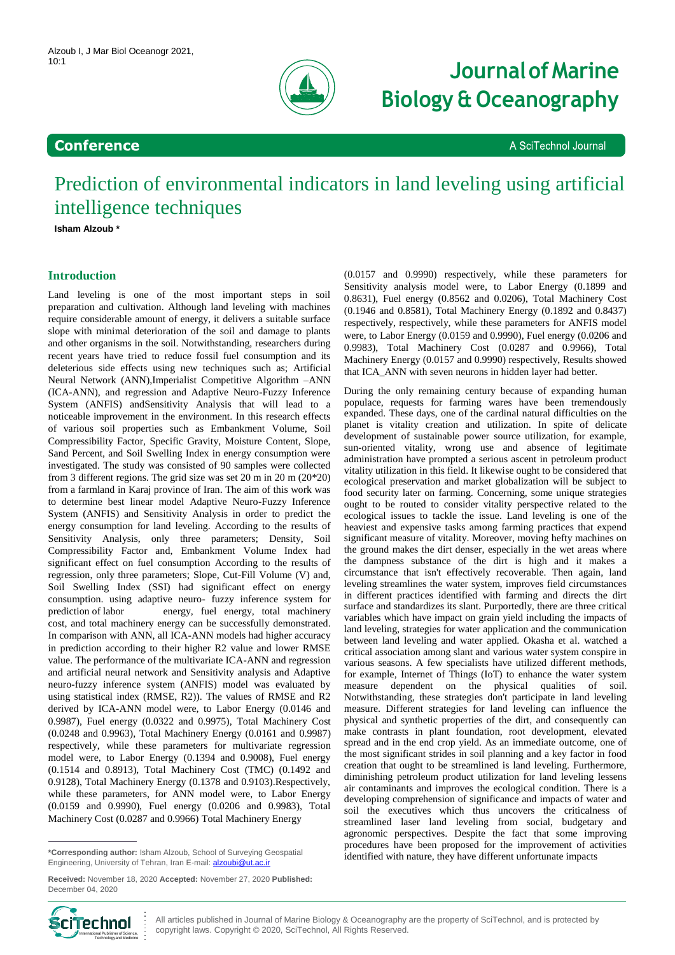

# 10:1 **Journal of Marine Biology & Oceanography**

A SciTechnol Journal

## **Conference**

Prediction of environmental indicators in land leveling using artificial intelligence techniques

**Isham Alzoub \***

### **Introduction**

Land leveling is one of the most important steps in soil preparation and cultivation. Although land leveling with machines require considerable amount of energy, it delivers a suitable surface slope with minimal deterioration of the soil and damage to plants and other organisms in the soil. Notwithstanding, researchers during recent years have tried to reduce fossil fuel consumption and its deleterious side effects using new techniques such as; Artificial Neural Network (ANN),Imperialist Competitive Algorithm –ANN (ICA-ANN), and regression and Adaptive Neuro-Fuzzy Inference System (ANFIS) andSensitivity Analysis that will lead to a noticeable improvement in the environment. In this research effects of various soil properties such as Embankment Volume, Soil Compressibility Factor, Specific Gravity, Moisture Content, Slope, Sand Percent, and Soil Swelling Index in energy consumption were investigated. The study was consisted of 90 samples were collected from 3 different regions. The grid size was set 20 m in 20 m (20\*20) from a farmland in Karaj province of Iran. The aim of this work was to determine best linear model Adaptive Neuro-Fuzzy Inference System (ANFIS) and Sensitivity Analysis in order to predict the energy consumption for land leveling. According to the results of Sensitivity Analysis, only three parameters; Density, Soil Compressibility Factor and, Embankment Volume Index had significant effect on fuel consumption According to the results of regression, only three parameters; Slope, Cut-Fill Volume (V) and, Soil Swelling Index (SSI) had significant effect on energy consumption. using adaptive neuro- fuzzy inference system for prediction of labor energy, fuel energy, total machinery cost, and total machinery energy can be successfully demonstrated. In comparison with ANN, all ICA-ANN models had higher accuracy in prediction according to their higher R2 value and lower RMSE value. The performance of the multivariate ICA-ANN and regression and artificial neural network and Sensitivity analysis and Adaptive neuro-fuzzy inference system (ANFIS) model was evaluated by using statistical index (RMSE, R2)). The values of RMSE and R2 derived by ICA-ANN model were, to Labor Energy (0.0146 and 0.9987), Fuel energy (0.0322 and 0.9975), Total Machinery Cost (0.0248 and 0.9963), Total Machinery Energy (0.0161 and 0.9987) respectively, while these parameters for multivariate regression model were, to Labor Energy (0.1394 and 0.9008), Fuel energy (0.1514 and 0.8913), Total Machinery Cost (TMC) (0.1492 and 0.9128), Total Machinery Energy (0.1378 and 0.9103).Respectively, while these parameters, for ANN model were, to Labor Energy (0.0159 and 0.9990), Fuel energy (0.0206 and 0.9983), Total Machinery Cost (0.0287 and 0.9966) Total Machinery Energy

(0.0157 and 0.9990) respectively, while these parameters for Sensitivity analysis model were, to Labor Energy (0.1899 and 0.8631), Fuel energy (0.8562 and 0.0206), Total Machinery Cost (0.1946 and 0.8581), Total Machinery Energy (0.1892 and 0.8437) respectively, respectively, while these parameters for ANFIS model were, to Labor Energy (0.0159 and 0.9990), Fuel energy (0.0206 and 0.9983), Total Machinery Cost (0.0287 and 0.9966), Total Machinery Energy (0.0157 and 0.9990) respectively, Results showed that ICA\_ANN with seven neurons in hidden layer had better.

During the only remaining century because of expanding human populace, requests for farming wares have been tremendously expanded. These days, one of the cardinal natural difficulties on the planet is vitality creation and utilization. In spite of delicate development of sustainable power source utilization, for example, sun-oriented vitality, wrong use and absence of legitimate administration have prompted a serious ascent in petroleum product vitality utilization in this field. It likewise ought to be considered that ecological preservation and market globalization will be subject to food security later on farming. Concerning, some unique strategies ought to be routed to consider vitality perspective related to the ecological issues to tackle the issue. Land leveling is one of the heaviest and expensive tasks among farming practices that expend significant measure of vitality. Moreover, moving hefty machines on the ground makes the dirt denser, especially in the wet areas where the dampness substance of the dirt is high and it makes a circumstance that isn't effectively recoverable. Then again, land leveling streamlines the water system, improves field circumstances in different practices identified with farming and directs the dirt surface and standardizes its slant. Purportedly, there are three critical variables which have impact on grain yield including the impacts of land leveling, strategies for water application and the communication between land leveling and water applied. Okasha et al. watched a critical association among slant and various water system conspire in various seasons. A few specialists have utilized different methods, for example, Internet of Things (IoT) to enhance the water system measure dependent on the physical qualities of soil. Notwithstanding, these strategies don't participate in land leveling measure. Different strategies for land leveling can influence the physical and synthetic properties of the dirt, and consequently can make contrasts in plant foundation, root development, elevated spread and in the end crop yield. As an immediate outcome, one of the most significant strides in soil planning and a key factor in food creation that ought to be streamlined is land leveling. Furthermore, diminishing petroleum product utilization for land leveling lessens air contaminants and improves the ecological condition. There is a developing comprehension of significance and impacts of water and soil the executives which thus uncovers the criticalness of streamlined laser land leveling from social, budgetary and agronomic perspectives. Despite the fact that some improving procedures have been proposed for the improvement of activities identified with nature, they have different unfortunate impacts



**<sup>\*</sup>Corresponding author:** Isham Alzoub, School of Surveying Geospatial Engineering, University of Tehran, Iran E-mail[: alzoubi@ut.ac.ir](mailto:alzoubi@ut.ac.ir)

**Received:** November 18, 2020 **Accepted:** November 27, 2020 **Published:** December 04, 2020